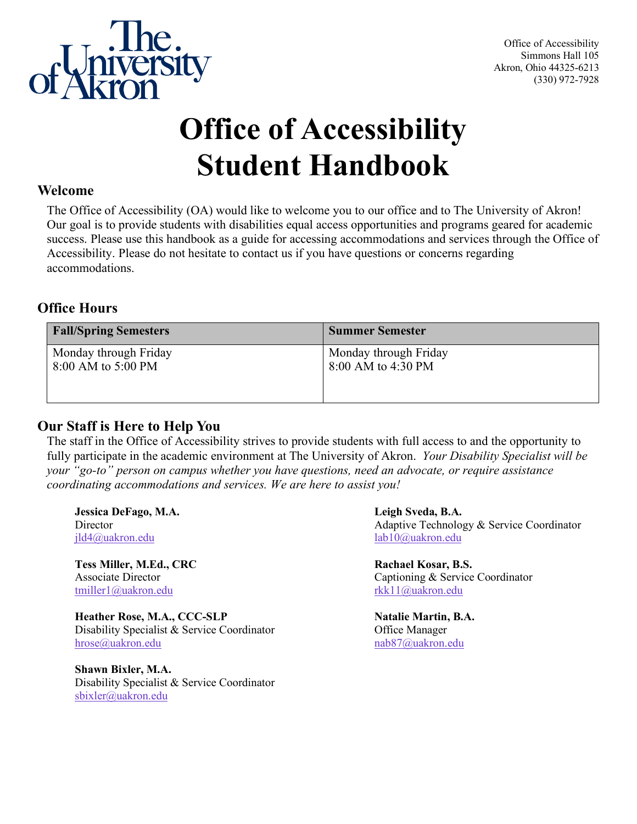

# **Office of Accessibility Student Handbook**

#### **Welcome**

The Office of Accessibility (OA) would like to welcome you to our office and to The University of Akron! Our goal is to provide students with disabilities equal access opportunities and programs geared for academic success. Please use this handbook as a guide for accessing accommodations and services through the Office of Accessibility. Please do not hesitate to contact us if you have questions or concerns regarding accommodations.

#### **Office Hours**

| <b>Fall/Spring Semesters</b>                | <b>Summer Semester</b>                      |
|---------------------------------------------|---------------------------------------------|
| Monday through Friday<br>8:00 AM to 5:00 PM | Monday through Friday<br>8:00 AM to 4:30 PM |
|                                             |                                             |

#### **Our Staff is Here to Help You**

The staff in the Office of Accessibility strives to provide students with full access to and the opportunity to fully participate in the academic environment at The University of Akron. *Your Disability Specialist will be your "go-to" person on campus whether you have questions, need an advocate, or require assistance coordinating accommodations and services. We are here to assist you!* 

**Jessica DeFago, M.A. Leigh Sveda, B.A.** [jld4@uakron.edu](mailto:jld4@uakron.edu) [lab10@uakron.edu](mailto:lab10@uakron.edu) 

**Tess Miller, M.Ed., CRC Rachael Kosar, B.S.** [tmiller1@uakron.edu](mailto:tmiller1@uakron.edu) rkk11@uakron.edu

**Heather Rose, M.A., CCC-SLP Natalie Martin, B.A.** Disability Specialist & Service Coordinator **Office Manager** [hrose@uakron.edu](mailto:hrose@uakron.edu) [nab87@uakron.edu](mailto:nab87@uakron.edu) nab87@uakron.edu

**Shawn Bixler, M.A.**  Disability Specialist & Service Coordinator [sbixler@uakron.edu](mailto:sbixler@uakron.edu)

Director **Adaptive Technology & Service Coordinator** Adaptive Technology & Service Coordinator

Associate Director Captioning & Service Coordinator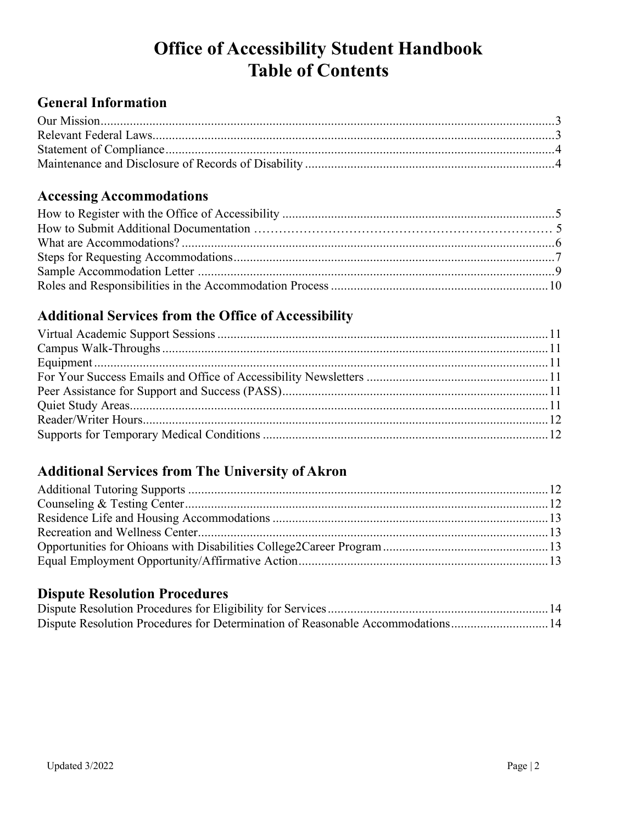### **Office of Accessibility Student Handbook Table of Contents**

### **General Information**

### **Accessing Accommodations**

### **Additional Services from the Office of Accessibility**

### **Additional Services from The University of Akron**

#### **Dispute Resolution Procedures**

| Dispute Resolution Procedures for Determination of Reasonable Accommodations 14 |  |
|---------------------------------------------------------------------------------|--|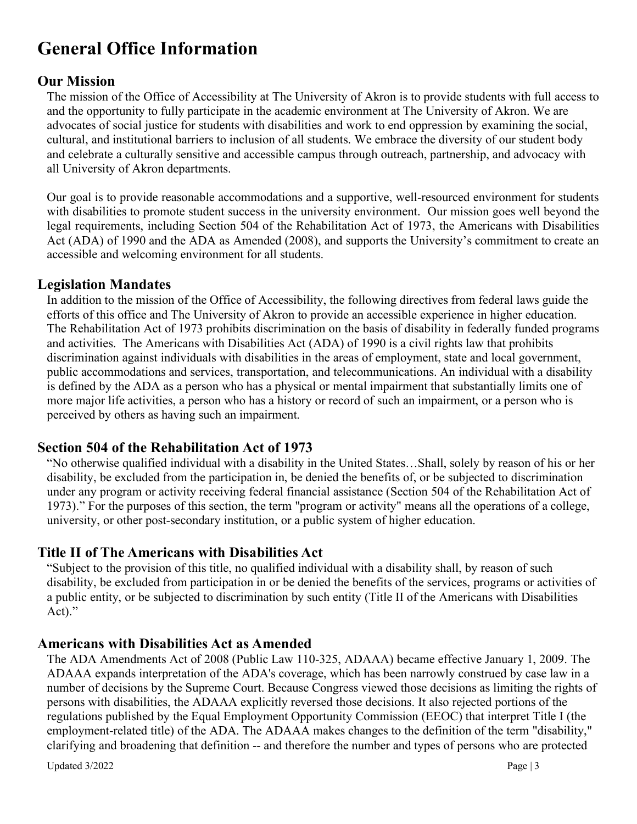### **General Office Information**

#### **Our Mission**

The mission of the Office of Accessibility at The University of Akron is to provide students with full access to and the opportunity to fully participate in the academic environment at The University of Akron. We are advocates of social justice for students with disabilities and work to end oppression by examining the social, cultural, and institutional barriers to inclusion of all students. We embrace the diversity of our student body and celebrate a culturally sensitive and accessible campus through outreach, partnership, and advocacy with all University of Akron departments.

Our goal is to provide reasonable accommodations and a supportive, well-resourced environment for students with disabilities to promote student success in the university environment. Our mission goes well beyond the legal requirements, including Section 504 of the Rehabilitation Act of 1973, the Americans with Disabilities Act (ADA) of 1990 and the ADA as Amended (2008), and supports the University's commitment to create an accessible and welcoming environment for all students.

#### **Legislation Mandates**

In addition to the mission of the Office of Accessibility, the following directives from federal laws guide the efforts of this office and The University of Akron to provide an accessible experience in higher education. The Rehabilitation Act of 1973 prohibits discrimination on the basis of disability in federally funded programs and activities. The Americans with Disabilities Act (ADA) of 1990 is a civil rights law that prohibits discrimination against individuals with disabilities in the areas of employment, state and local government, public accommodations and services, transportation, and telecommunications. An individual with a disability is defined by the ADA as a person who has a physical or mental impairment that substantially limits one of more major life activities, a person who has a history or record of such an impairment, or a person who is perceived by others as having such an impairment.

#### **Section 504 of the Rehabilitation Act of 1973**

"No otherwise qualified individual with a disability in the United States…Shall, solely by reason of his or her disability, be excluded from the participation in, be denied the benefits of, or be subjected to discrimination under any program or activity receiving federal financial assistance (Section 504 of the Rehabilitation Act of 1973)." For the purposes of this section, the term "program or activity" means all the operations of a college, university, or other post-secondary institution, or a public system of higher education.

#### **Title II of The Americans with Disabilities Act**

"Subject to the provision of this title, no qualified individual with a disability shall, by reason of such disability, be excluded from participation in or be denied the benefits of the services, programs or activities of a public entity, or be subjected to discrimination by such entity (Title II of the Americans with Disabilities Act)."

#### **Americans with Disabilities Act as Amended**

The ADA Amendments Act of 2008 (Public Law 110-325, ADAAA) became effective January 1, 2009. The ADAAA expands interpretation of the ADA's coverage, which has been narrowly construed by case law in a number of decisions by the Supreme Court. Because Congress viewed those decisions as limiting the rights of persons with disabilities, the ADAAA explicitly reversed those decisions. It also rejected portions of the regulations published by the Equal Employment Opportunity Commission (EEOC) that interpret Title I (the employment-related title) of the ADA. The ADAAA makes changes to the definition of the term "disability," clarifying and broadening that definition -- and therefore the number and types of persons who are protected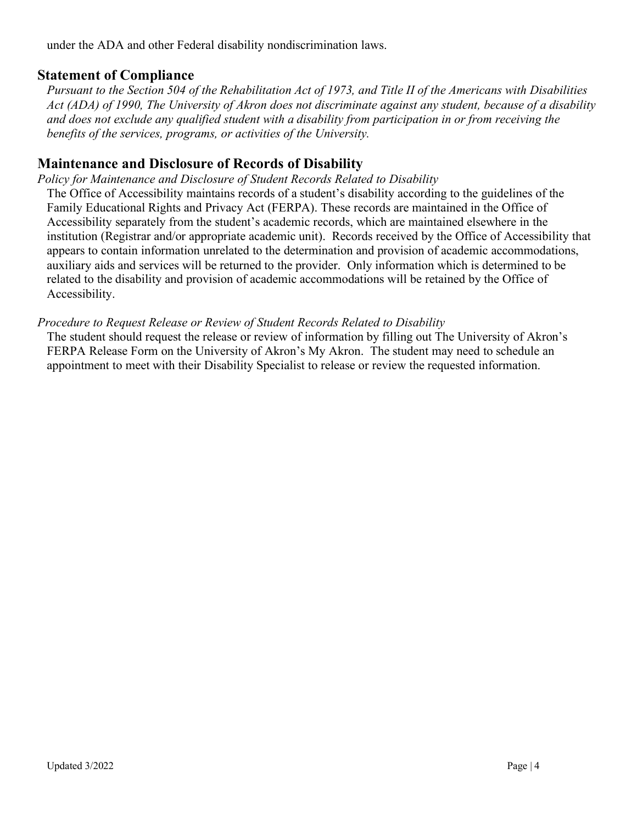under the ADA and other Federal disability nondiscrimination laws.

#### **Statement of Compliance**

*Pursuant to the Section 504 of the Rehabilitation Act of 1973, and Title II of the Americans with Disabilities Act (ADA) of 1990, The University of Akron does not discriminate against any student, because of a disability and does not exclude any qualified student with a disability from participation in or from receiving the benefits of the services, programs, or activities of the University.*

#### **Maintenance and Disclosure of Records of Disability**

*Policy for Maintenance and Disclosure of Student Records Related to Disability*

The Office of Accessibility maintains records of a student's disability according to the guidelines of the Family Educational Rights and Privacy Act (FERPA). These records are maintained in the Office of Accessibility separately from the student's academic records, which are maintained elsewhere in the institution (Registrar and/or appropriate academic unit). Records received by the Office of Accessibility that appears to contain information unrelated to the determination and provision of academic accommodations, auxiliary aids and services will be returned to the provider. Only information which is determined to be related to the disability and provision of academic accommodations will be retained by the Office of Accessibility.

#### *Procedure to Request Release or Review of Student Records Related to Disability*

The student should request the release or review of information by filling out The University of Akron's FERPA Release Form on the University of Akron's My Akron. The student may need to schedule an appointment to meet with their Disability Specialist to release or review the requested information.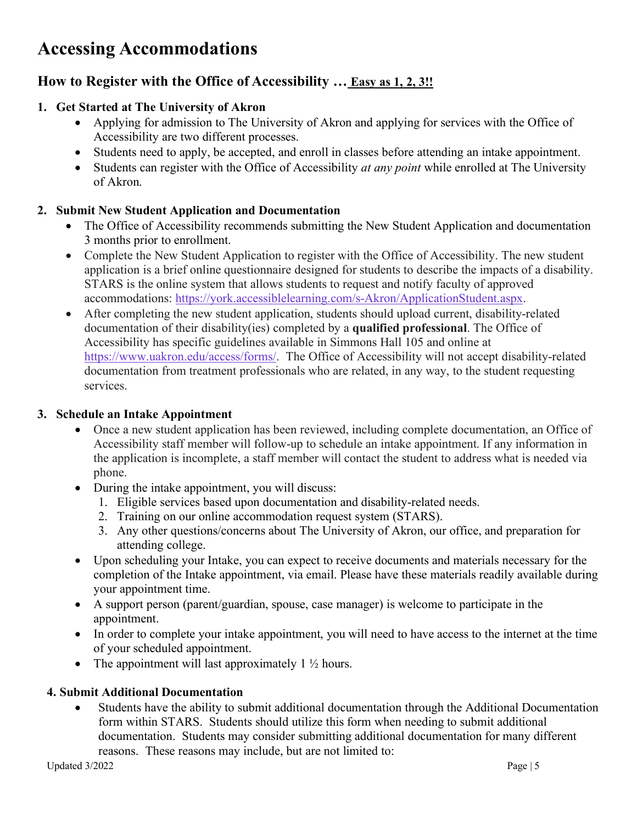### **Accessing Accommodations**

#### **How to Register with the Office of Accessibility … Easy as 1, 2, 3!!**

#### **1. Get Started at The University of Akron**

- Applying for admission to The University of Akron and applying for services with the Office of Accessibility are two different processes.
- Students need to apply, be accepted, and enroll in classes before attending an intake appointment.
- Students can register with the Office of Accessibility *at any point* while enrolled at The University of Akron.

#### **2. Submit New Student Application and Documentation**

- The Office of Accessibility recommends submitting the New Student Application and documentation 3 months prior to enrollment.
- Complete the New Student Application to register with the Office of Accessibility. The new student application is a brief online questionnaire designed for students to describe the impacts of a disability. STARS is the online system that allows students to request and notify faculty of approved accommodations: [https://york.accessiblelearning.com/s-Akron/ApplicationStudent.aspx.](https://york.accessiblelearning.com/s-Akron/ApplicationStudent.aspx)
- After completing the new student application, students should upload current, disability-related documentation of their disability(ies) completed by a **qualified professional**. The Office of Accessibility has specific guidelines available in Simmons Hall 105 and online at [https://www.uakron.edu/access/forms/.](https://www.uakron.edu/access/forms/) The Office of Accessibility will not accept disability-related documentation from treatment professionals who are related, in any way, to the student requesting services.

#### **3. Schedule an Intake Appointment**

- Once a new student application has been reviewed, including complete documentation, an Office of Accessibility staff member will follow-up to schedule an intake appointment. If any information in the application is incomplete, a staff member will contact the student to address what is needed via phone.
- During the intake appointment, you will discuss:
	- 1. Eligible services based upon documentation and disability-related needs.
	- 2. Training on our online accommodation request system (STARS).
	- 3. Any other questions/concerns about The University of Akron, our office, and preparation for attending college.
- Upon scheduling your Intake, you can expect to receive documents and materials necessary for the completion of the Intake appointment, via email. Please have these materials readily available during your appointment time.
- A support person (parent/guardian, spouse, case manager) is welcome to participate in the appointment.
- In order to complete your intake appointment, you will need to have access to the internet at the time of your scheduled appointment.
- The appointment will last approximately  $1 \frac{1}{2}$  hours.

#### **4. Submit Additional Documentation**

• Students have the ability to submit additional documentation through the Additional Documentation form within STARS. Students should utilize this form when needing to submit additional documentation. Students may consider submitting additional documentation for many different reasons. These reasons may include, but are not limited to: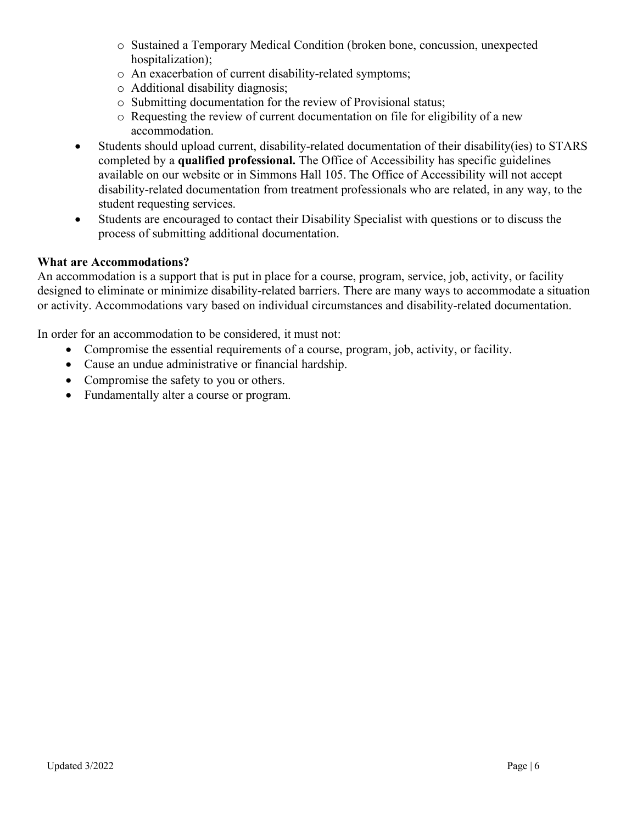- o Sustained a Temporary Medical Condition (broken bone, concussion, unexpected hospitalization);
- o An exacerbation of current disability-related symptoms;
- o Additional disability diagnosis;
- o Submitting documentation for the review of Provisional status;
- o Requesting the review of current documentation on file for eligibility of a new accommodation.
- Students should upload current, disability-related documentation of their disability(ies) to STARS completed by a **qualified professional.** The Office of Accessibility has specific guidelines available on our website or in Simmons Hall 105. The Office of Accessibility will not accept disability-related documentation from treatment professionals who are related, in any way, to the student requesting services.
- Students are encouraged to contact their Disability Specialist with questions or to discuss the process of submitting additional documentation.

#### **What are Accommodations?**

An accommodation is a support that is put in place for a course, program, service, job, activity, or facility designed to eliminate or minimize disability-related barriers. There are many ways to accommodate a situation or activity. Accommodations vary based on individual circumstances and disability-related documentation.

In order for an accommodation to be considered, it must not:

- Compromise the essential requirements of a course, program, job, activity, or facility.
- Cause an undue administrative or financial hardship.
- Compromise the safety to you or others.
- Fundamentally alter a course or program.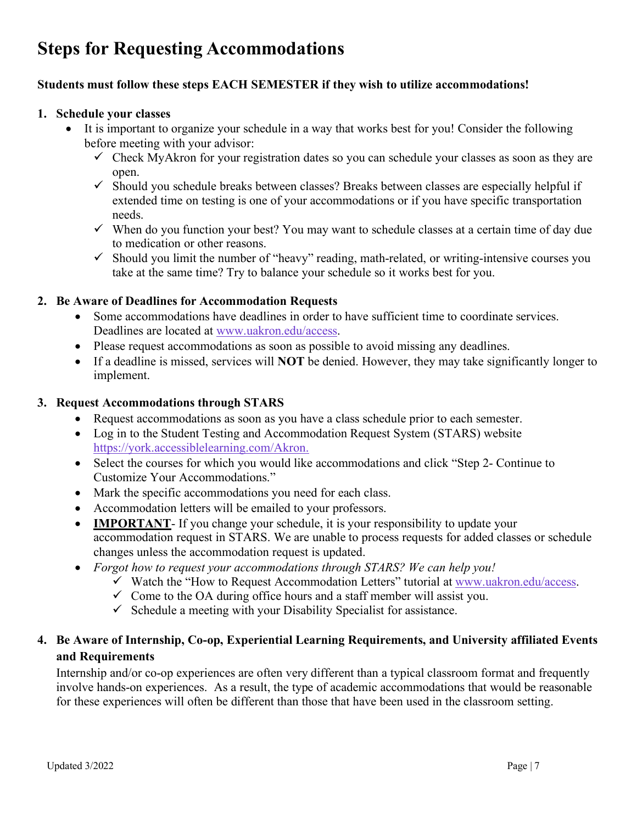## **Steps for Requesting Accommodations**

#### **Students must follow these steps EACH SEMESTER if they wish to utilize accommodations!**

#### **1. Schedule your classes**

- It is important to organize your schedule in a way that works best for you! Consider the following before meeting with your advisor:
	- $\checkmark$  Check MyAkron for your registration dates so you can schedule your classes as soon as they are open.
	- $\checkmark$  Should you schedule breaks between classes? Breaks between classes are especially helpful if extended time on testing is one of your accommodations or if you have specific transportation needs.
	- $\checkmark$  When do you function your best? You may want to schedule classes at a certain time of day due to medication or other reasons.
	- $\checkmark$  Should you limit the number of "heavy" reading, math-related, or writing-intensive courses you take at the same time? Try to balance your schedule so it works best for you.

#### **2. Be Aware of Deadlines for Accommodation Requests**

- Some accommodations have deadlines in order to have sufficient time to coordinate services. Deadlines are located at [www.uakron.edu/access.](http://www.uakron.edu/access)
- Please request accommodations as soon as possible to avoid missing any deadlines.
- If a deadline is missed, services will **NOT** be denied. However, they may take significantly longer to implement.

#### **3. Request Accommodations through STARS**

- Request accommodations as soon as you have a class schedule prior to each semester.
- Log in to the Student Testing and Accommodation Request System (STARS) website [https://york.accessiblelearning.com/Akron.](https://york.accessiblelearning.com/Akron)
- Select the courses for which you would like accommodations and click "Step 2- Continue to Customize Your Accommodations."
- Mark the specific accommodations you need for each class.
- Accommodation letters will be emailed to your professors.
- **IMPORTANT** If you change your schedule, it is your responsibility to update your accommodation request in STARS. We are unable to process requests for added classes or schedule changes unless the accommodation request is updated.
- *Forgot how to request your accommodations through STARS? We can help you!*
	- $\checkmark$  Watch the "How to Request Accommodation Letters" tutorial at [www.uakron.edu/access.](http://www.uakron.edu/access)
	- $\checkmark$  Come to the OA during office hours and a staff member will assist you.
	- $\checkmark$  Schedule a meeting with your Disability Specialist for assistance.

#### **4. Be Aware of Internship, Co-op, Experiential Learning Requirements, and University affiliated Events and Requirements**

Internship and/or co-op experiences are often very different than a typical classroom format and frequently involve hands-on experiences. As a result, the type of academic accommodations that would be reasonable for these experiences will often be different than those that have been used in the classroom setting.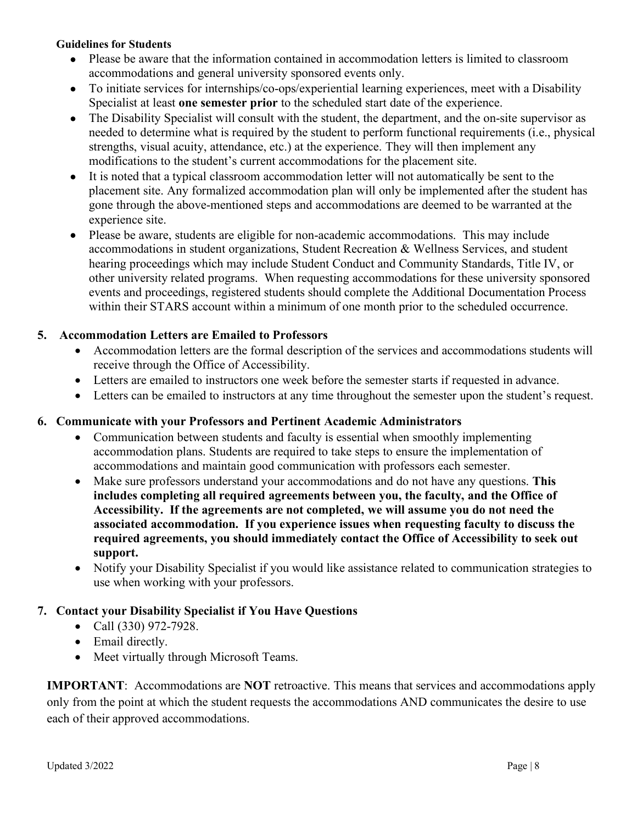#### **Guidelines for Students**

- Please be aware that the information contained in accommodation letters is limited to classroom accommodations and general university sponsored events only.
- To initiate services for internships/co-ops/experiential learning experiences, meet with a Disability Specialist at least **one semester prior** to the scheduled start date of the experience.
- The Disability Specialist will consult with the student, the department, and the on-site supervisor as needed to determine what is required by the student to perform functional requirements (i.e., physical strengths, visual acuity, attendance, etc.) at the experience. They will then implement any modifications to the student's current accommodations for the placement site.
- It is noted that a typical classroom accommodation letter will not automatically be sent to the placement site. Any formalized accommodation plan will only be implemented after the student has gone through the above-mentioned steps and accommodations are deemed to be warranted at the experience site.
- Please be aware, students are eligible for non-academic accommodations. This may include accommodations in student organizations, Student Recreation & Wellness Services, and student hearing proceedings which may include Student Conduct and Community Standards, Title IV, or other university related programs. When requesting accommodations for these university sponsored events and proceedings, registered students should complete the Additional Documentation Process within their STARS account within a minimum of one month prior to the scheduled occurrence.

#### **5. Accommodation Letters are Emailed to Professors**

- Accommodation letters are the formal description of the services and accommodations students will receive through the Office of Accessibility.
- Letters are emailed to instructors one week before the semester starts if requested in advance.
- Letters can be emailed to instructors at any time throughout the semester upon the student's request.

#### **6. Communicate with your Professors and Pertinent Academic Administrators**

- Communication between students and faculty is essential when smoothly implementing accommodation plans. Students are required to take steps to ensure the implementation of accommodations and maintain good communication with professors each semester.
- Make sure professors understand your accommodations and do not have any questions. **This includes completing all required agreements between you, the faculty, and the Office of Accessibility. If the agreements are not completed, we will assume you do not need the associated accommodation. If you experience issues when requesting faculty to discuss the required agreements, you should immediately contact the Office of Accessibility to seek out support.**
- Notify your Disability Specialist if you would like assistance related to communication strategies to use when working with your professors.

#### **7. Contact your Disability Specialist if You Have Questions**

- Call (330) 972-7928.
- Email directly.
- Meet virtually through Microsoft Teams.

**IMPORTANT**: Accommodations are **NOT** retroactive. This means that services and accommodations apply only from the point at which the student requests the accommodations AND communicates the desire to use each of their approved accommodations.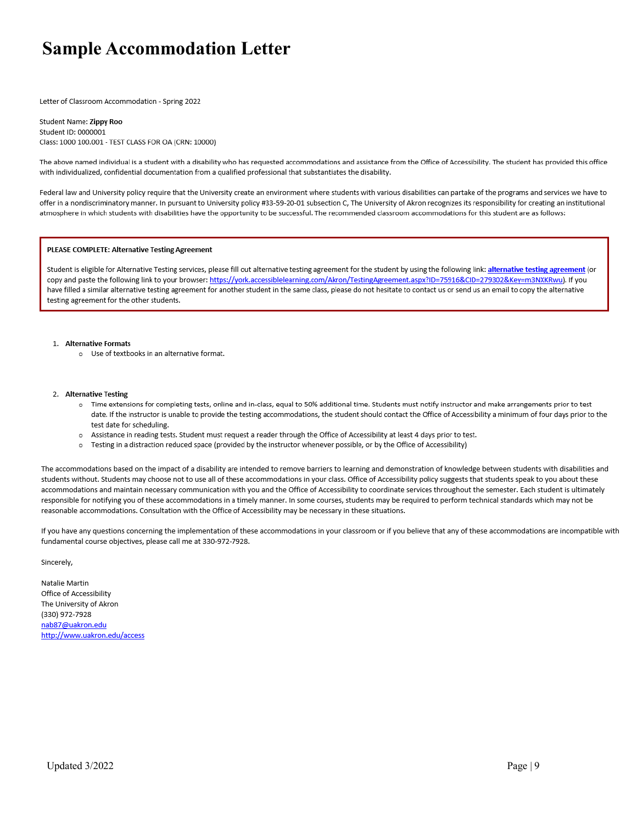### **Sample Accommodation Letter**

Letter of Classroom Accommodation - Spring 2022

Student Name: Zippy Roo Student ID: 0000001 Class: 1000 100.001 - TEST CLASS FOR OA (CRN: 10000)

The above named individual is a student with a disability who has requested accommodations and assistance from the Office of Accessibility. The student has provided this office with individualized, confidential documentation from a qualified professional that substantiates the disability.

Federal law and University policy require that the University create an environment where students with various disabilities can partake of the programs and services we have to offer in a nondiscriminatory manner. In pursuant to University policy #33-59-20-01 subsection C, The University of Akron recognizes its responsibility for creating an institutional atmosphere in which students with disabilities have the opportunity to be successful. The recommended classroom accommodations for this student are as follows:

#### PLEASE COMPLETE: Alternative Testing Agreement

Student is eligible for Alternative Testing services, please fill out alternative testing agreement for the student by using the following link: alternative testing agreement (or copy and paste the following link to your browser: https://york.accessiblelearning.com/Akron/TestingAgreement.aspx?ID=75916&CID=279302&Key=m3NXKRwuJ. If you have filled a similar alternative testing agreement for another student in the same class, please do not hesitate to contact us or send us an email to copy the alternative testing agreement for the other students.

#### 1. Alternative Formats

o Use of textbooks in an alternative format.

#### 2. Alternative Testing

- Time extensions for completing tests, online and in-class, equal to 50% additional time. Students must notify instructor and make arrangements prior to test date. If the instructor is unable to provide the testing accommodations, the student should contact the Office of Accessibility a minimum of four days prior to the test date for scheduling.
- o Assistance in reading tests. Student must request a reader through the Office of Accessibility at least 4 days prior to test.
- o Testing in a distraction reduced space (provided by the instructor whenever possible, or by the Office of Accessibility)

The accommodations based on the impact of a disability are intended to remove barriers to learning and demonstration of knowledge between students with disabilities and students without. Students may choose not to use all of these accommodations in your class. Office of Accessibility policy suggests that students speak to you about these accommodations and maintain necessary communication with you and the Office of Accessibility to coordinate services throughout the semester. Each student is ultimately responsible for notifying you of these accommodations in a timely manner. In some courses, students may be required to perform technical standards which may not be reasonable accommodations. Consultation with the Office of Accessibility may be necessary in these situations.

If you have any questions concerning the implementation of these accommodations in your classroom or if you believe that any of these accommodations are incompatible with fundamental course objectives, please call me at 330-972-7928.

Sincerely,

Natalie Martin Office of Accessibility The University of Akron (330) 972-7928 nab87@uakron.edu http://www.uakron.edu/access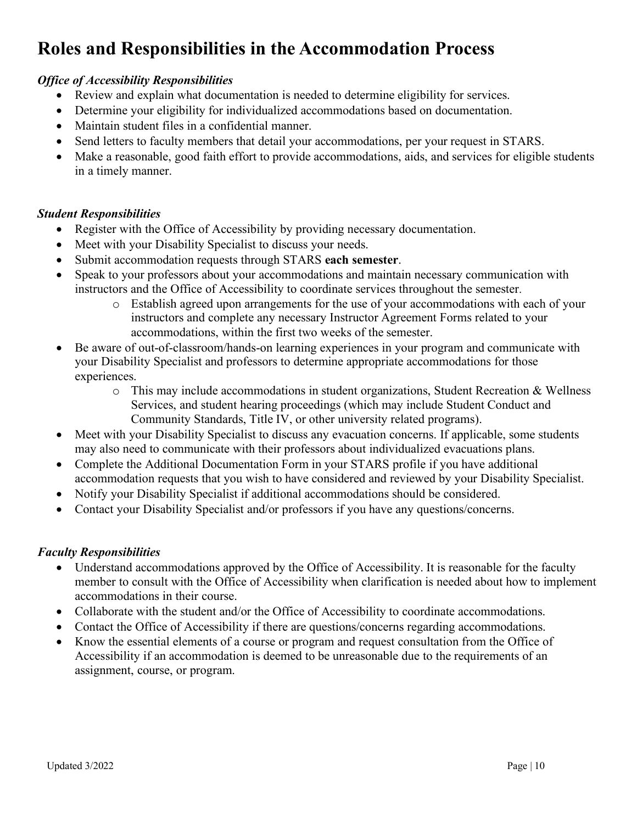## **Roles and Responsibilities in the Accommodation Process**

#### *Office of Accessibility Responsibilities*

- Review and explain what documentation is needed to determine eligibility for services.
- Determine your eligibility for individualized accommodations based on documentation.
- Maintain student files in a confidential manner.
- Send letters to faculty members that detail your accommodations, per your request in STARS.
- Make a reasonable, good faith effort to provide accommodations, aids, and services for eligible students in a timely manner.

#### *Student Responsibilities*

- Register with the Office of Accessibility by providing necessary documentation.
- Meet with your Disability Specialist to discuss your needs.
- Submit accommodation requests through STARS **each semester**.
- Speak to your professors about your accommodations and maintain necessary communication with instructors and the Office of Accessibility to coordinate services throughout the semester.
	- o Establish agreed upon arrangements for the use of your accommodations with each of your instructors and complete any necessary Instructor Agreement Forms related to your accommodations, within the first two weeks of the semester.
- Be aware of out-of-classroom/hands-on learning experiences in your program and communicate with your Disability Specialist and professors to determine appropriate accommodations for those experiences.
	- $\circ$  This may include accommodations in student organizations, Student Recreation & Wellness Services, and student hearing proceedings (which may include Student Conduct and Community Standards, Title IV, or other university related programs).
- Meet with your Disability Specialist to discuss any evacuation concerns. If applicable, some students may also need to communicate with their professors about individualized evacuations plans.
- Complete the Additional Documentation Form in your STARS profile if you have additional accommodation requests that you wish to have considered and reviewed by your Disability Specialist.
- Notify your Disability Specialist if additional accommodations should be considered.
- Contact your Disability Specialist and/or professors if you have any questions/concerns.

#### *Faculty Responsibilities*

- Understand accommodations approved by the Office of Accessibility. It is reasonable for the faculty member to consult with the Office of Accessibility when clarification is needed about how to implement accommodations in their course.
- Collaborate with the student and/or the Office of Accessibility to coordinate accommodations.
- Contact the Office of Accessibility if there are questions/concerns regarding accommodations.
- Know the essential elements of a course or program and request consultation from the Office of Accessibility if an accommodation is deemed to be unreasonable due to the requirements of an assignment, course, or program.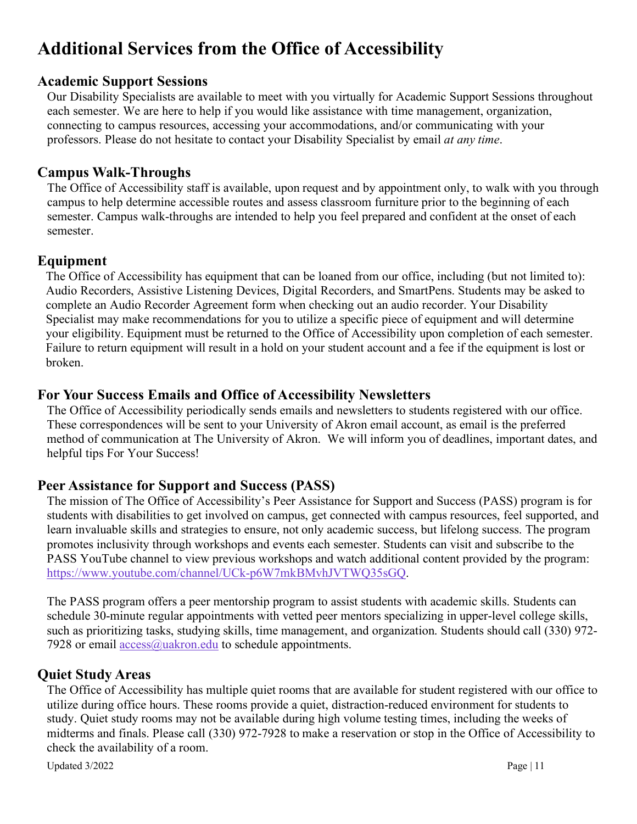### **Additional Services from the Office of Accessibility**

#### **Academic Support Sessions**

Our Disability Specialists are available to meet with you virtually for Academic Support Sessions throughout each semester. We are here to help if you would like assistance with time management, organization, connecting to campus resources, accessing your accommodations, and/or communicating with your professors. Please do not hesitate to contact your Disability Specialist by email *at any time*.

#### **Campus Walk-Throughs**

The Office of Accessibility staff is available, upon request and by appointment only, to walk with you through campus to help determine accessible routes and assess classroom furniture prior to the beginning of each semester. Campus walk-throughs are intended to help you feel prepared and confident at the onset of each semester.

#### **Equipment**

The Office of Accessibility has equipment that can be loaned from our office, including (but not limited to): Audio Recorders, Assistive Listening Devices, Digital Recorders, and SmartPens. Students may be asked to complete an Audio Recorder Agreement form when checking out an audio recorder. Your Disability Specialist may make recommendations for you to utilize a specific piece of equipment and will determine your eligibility. Equipment must be returned to the Office of Accessibility upon completion of each semester. Failure to return equipment will result in a hold on your student account and a fee if the equipment is lost or broken.

#### **For Your Success Emails and Office of Accessibility Newsletters**

The Office of Accessibility periodically sends emails and newsletters to students registered with our office. These correspondences will be sent to your University of Akron email account, as email is the preferred method of communication at The University of Akron. We will inform you of deadlines, important dates, and helpful tips For Your Success!

#### **Peer Assistance for Support and Success (PASS)**

The mission of The Office of Accessibility's Peer Assistance for Support and Success (PASS) program is for students with disabilities to get involved on campus, get connected with campus resources, feel supported, and learn invaluable skills and strategies to ensure, not only academic success, but lifelong success. The program promotes inclusivity through workshops and events each semester. Students can visit and subscribe to the PASS YouTube channel to view previous workshops and watch additional content provided by the program: [https://www.youtube.com/channel/UCk-p6W7mkBMvhJVTWQ35sGQ.](https://www.youtube.com/channel/UCk-p6W7mkBMvhJVTWQ35sGQ)

The PASS program offers a peer mentorship program to assist students with academic skills. Students can schedule 30-minute regular appointments with vetted peer mentors specializing in upper-level college skills, such as prioritizing tasks, studying skills, time management, and organization. Students should call (330) 972- 7928 or email  $\arccos(a)$ uakron.edu to schedule appointments.

#### **Quiet Study Areas**

The Office of Accessibility has multiple quiet rooms that are available for student registered with our office to utilize during office hours. These rooms provide a quiet, distraction-reduced environment for students to study. Quiet study rooms may not be available during high volume testing times, including the weeks of midterms and finals. Please call (330) 972-7928 to make a reservation or stop in the Office of Accessibility to check the availability of a room.

Updated 3/2022 Page | 11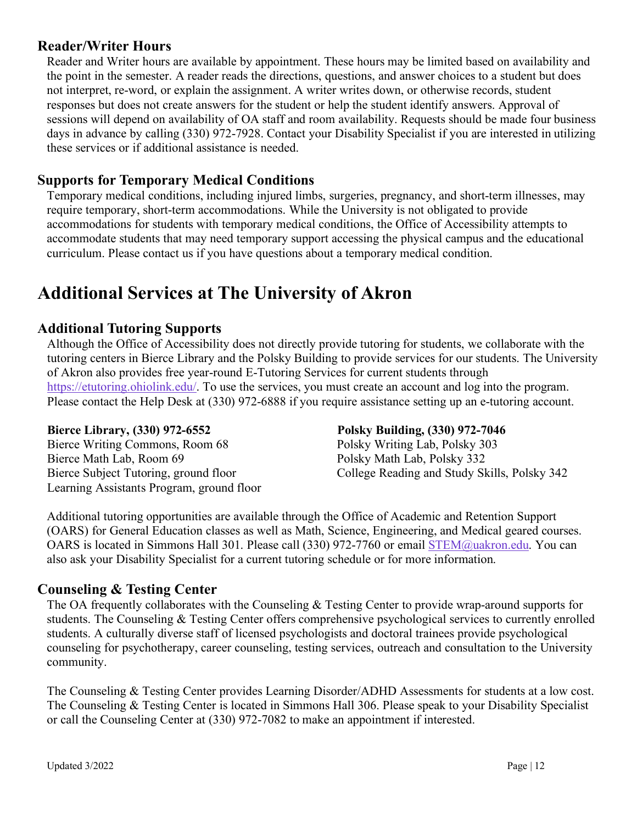#### **Reader/Writer Hours**

Reader and Writer hours are available by appointment. These hours may be limited based on availability and the point in the semester. A reader reads the directions, questions, and answer choices to a student but does not interpret, re-word, or explain the assignment. A writer writes down, or otherwise records, student responses but does not create answers for the student or help the student identify answers. Approval of sessions will depend on availability of OA staff and room availability. Requests should be made four business days in advance by calling (330) 972-7928. Contact your Disability Specialist if you are interested in utilizing these services or if additional assistance is needed.

#### **Supports for Temporary Medical Conditions**

Temporary medical conditions, including injured limbs, surgeries, pregnancy, and short-term illnesses, may require temporary, short-term accommodations. While the University is not obligated to provide accommodations for students with temporary medical conditions, the Office of Accessibility attempts to accommodate students that may need temporary support accessing the physical campus and the educational curriculum. Please contact us if you have questions about a temporary medical condition.

### **Additional Services at The University of Akron**

#### **Additional Tutoring Supports**

Although the Office of Accessibility does not directly provide tutoring for students, we collaborate with the tutoring centers in Bierce Library and the Polsky Building to provide services for our students. The University of Akron also provides free year-round E-Tutoring Services for current students through [https://etutoring.ohiolink.edu/.](https://etutoring.ohiolink.edu/) To use the services, you must create an account and log into the program. Please contact the Help Desk at (330) 972-6888 if you require assistance setting up an e-tutoring account.

Bierce Writing Commons, Room 68 Bierce Math Lab, Room 69 Polsky Math Lab, Polsky 332 Learning Assistants Program, ground floor

**Bierce Library, (330) 972-6552** Polsky Building, (330) 972-7046<br>Bierce Writing Commons, Room 68 Polsky Writing Lab, Polsky 303 Bierce Subject Tutoring, ground floor College Reading and Study Skills, Polsky 342

Additional tutoring opportunities are available through the Office of Academic and Retention Support (OARS) for General Education classes as well as Math, Science, Engineering, and Medical geared courses. OARS is located in Simmons Hall 301. Please call (330) 972-7760 or email [STEM@uakron.edu.](mailto:STEM@uakron.edu) You can also ask your Disability Specialist for a current tutoring schedule or for more information.

#### **Counseling & Testing Center**

The OA frequently collaborates with the Counseling & Testing Center to provide wrap-around supports for students. The Counseling & Testing Center offers comprehensive psychological services to currently enrolled students. A culturally diverse staff of licensed psychologists and doctoral trainees provide psychological counseling for psychotherapy, career counseling, testing services, outreach and consultation to the University community.

The Counseling & Testing Center provides Learning Disorder/ADHD Assessments for students at a low cost. The Counseling & Testing Center is located in Simmons Hall 306. Please speak to your Disability Specialist or call the Counseling Center at (330) 972-7082 to make an appointment if interested.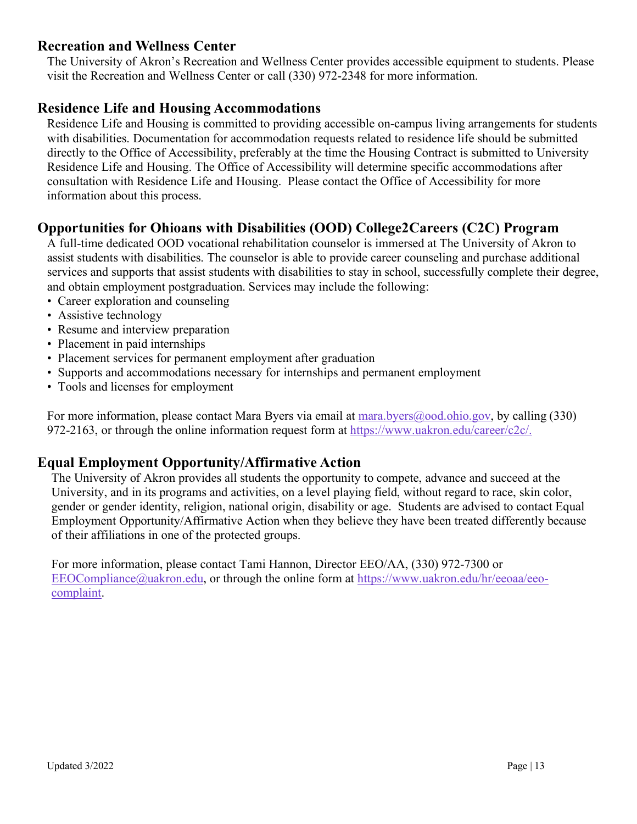#### **Recreation and Wellness Center**

The University of Akron's Recreation and Wellness Center provides accessible equipment to students. Please visit the Recreation and Wellness Center or call (330) 972-2348 for more information.

#### **Residence Life and Housing Accommodations**

Residence Life and Housing is committed to providing accessible on-campus living arrangements for students with disabilities. Documentation for accommodation requests related to residence life should be submitted directly to the Office of Accessibility, preferably at the time the Housing Contract is submitted to University Residence Life and Housing. The Office of Accessibility will determine specific accommodations after consultation with Residence Life and Housing. Please contact the Office of Accessibility for more information about this process.

#### **Opportunities for Ohioans with Disabilities (OOD) College2Careers (C2C) Program**

A full-time dedicated OOD vocational rehabilitation counselor is immersed at The University of Akron to assist students with disabilities. The counselor is able to provide career counseling and purchase additional services and supports that assist students with disabilities to stay in school, successfully complete their degree, and obtain employment postgraduation. Services may include the following:

- Career exploration and counseling
- Assistive technology
- Resume and interview preparation
- Placement in paid internships
- Placement services for permanent employment after graduation
- Supports and accommodations necessary for internships and permanent employment
- Tools and licenses for employment

For more information, please contact Mara Byers via email at [mara.byers@ood.ohio.gov,](mailto:mara.byers@ood.ohio.gov) by calling (330) 972-2163, or through the online information request form at [https://www.uakron.edu/career/c2c/.](https://nam11.safelinks.protection.outlook.com/?url=https%3A%2F%2Fwww.uakron.edu%2Fcareer%2Fc2c%2F&data=04%7C01%7Cahaas%40uakron.edu%7C8a559625a55f4845ffe608d8d76071a5%7Ce8575dedd7f94ecea4aa0b32991aeedd%7C0%7C0%7C637496156712514412%7CUnknown%7CTWFpbGZsb3d8eyJWIjoiMC4wLjAwMDAiLCJQIjoiV2luMzIiLCJBTiI6Ik1haWwiLCJXVCI6Mn0%3D%7C1000&sdata=8B6Z4rBqxy2UFLxmh%2FgpyRIL0Vcdj7cJMQEpHkYCb9Y%3D&reserved=0)

#### **Equal Employment Opportunity/Affirmative Action**

The University of Akron provides all students the opportunity to compete, advance and succeed at the University, and in its programs and activities, on a level playing field, without regard to race, skin color, gender or gender identity, religion, national origin, disability or age. Students are advised to contact Equal Employment Opportunity/Affirmative Action when they believe they have been treated differently because of their affiliations in one of the protected groups.

For more information, please contact Tami Hannon, Director EEO/AA, (330) 972-7300 or [EEOCompliance@uakron.edu,](mailto:EEOCompliance@uakron.edu) or through the online form at [https://www.uakron.edu/hr/eeoaa/eeo](https://nam11.safelinks.protection.outlook.com/?url=https%3A%2F%2Fwww.uakron.edu%2Fhr%2Feeoaa%2Feeo-complaint&data=04%7C01%7Cahaas%40uakron.edu%7C2edc1c82d1774005581408d91548690d%7Ce8575dedd7f94ecea4aa0b32991aeedd%7C0%7C0%7C637564223001819349%7CUnknown%7CTWFpbGZsb3d8eyJWIjoiMC4wLjAwMDAiLCJQIjoiV2luMzIiLCJBTiI6Ik1haWwiLCJXVCI6Mn0%3D%7C1000&sdata=JniPJR9q2jtPzvWOlOG2GgGN5Cq1z1ZV8ACWLSeJbRk%3D&reserved=0)[complaint.](https://nam11.safelinks.protection.outlook.com/?url=https%3A%2F%2Fwww.uakron.edu%2Fhr%2Feeoaa%2Feeo-complaint&data=04%7C01%7Cahaas%40uakron.edu%7C2edc1c82d1774005581408d91548690d%7Ce8575dedd7f94ecea4aa0b32991aeedd%7C0%7C0%7C637564223001819349%7CUnknown%7CTWFpbGZsb3d8eyJWIjoiMC4wLjAwMDAiLCJQIjoiV2luMzIiLCJBTiI6Ik1haWwiLCJXVCI6Mn0%3D%7C1000&sdata=JniPJR9q2jtPzvWOlOG2GgGN5Cq1z1ZV8ACWLSeJbRk%3D&reserved=0)